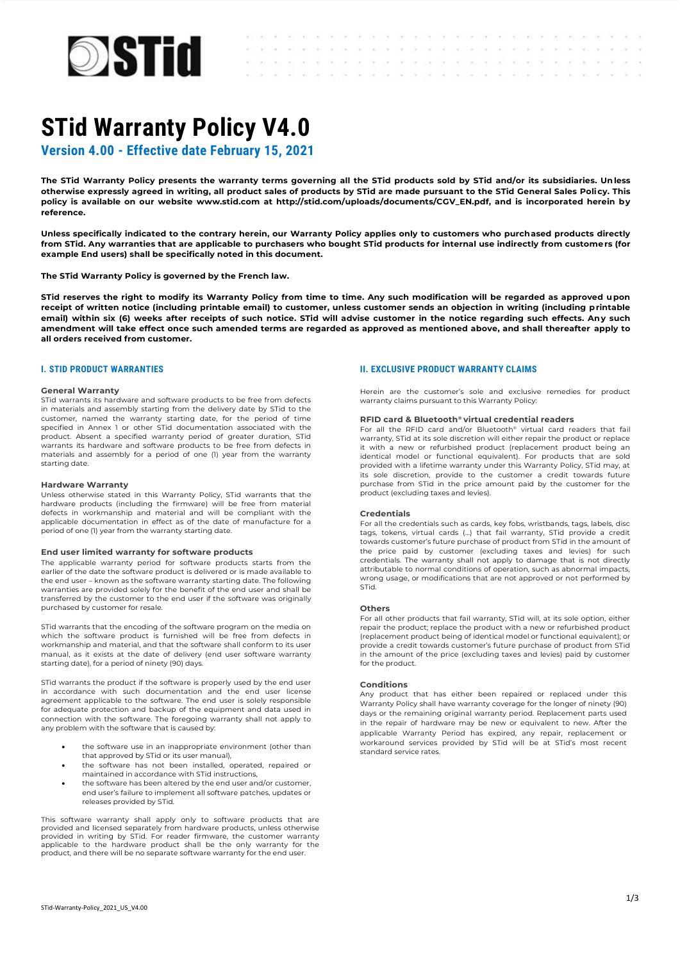

AS AS AS AS AS ALCOHOL: WE SERVE ON THE 24 YOF OF THE SPECIALS WAS ASSAULTED AS A RELATED TO THE THE  $\sim$ to the term of the stripe of the print companies to the terms of the term  $\sim$  $\sim 10^{-1}$  $\sim$  $\sim$  $\sim$ 

# **STid Warranty Policy V4.0**

 $\sim$ 

 $\sim$ 

**Version 4.00 - Effective date February 15, 2021**

**The STid Warranty Policy presents the warranty terms governing all the STid products sold by STid and/or its subsidiaries. Unless otherwise expressly agreed in writing, all product sales of products by STid are made pursuant to the STid General Sales Policy. This policy is available on our website www.stid.com at http://stid.com/uploads/documents/CGV\_EN.pdf, and is incorporated herein by reference.**

**Unless specifically indicated to the contrary herein, our Warranty Policy applies only to customers who purchased products directly from STid. Any warranties that are applicable to purchasers who bought STid products for internal use indirectly from customers (for example End users) shall be specifically noted in this document.**

**The STid Warranty Policy is governed by the French law.**

**STid reserves the right to modify its Warranty Policy from time to time. Any such modification will be regarded as approved upon receipt of written notice (including printable email) to customer, unless customer sends an objection in writing (including printable email) within six (6) weeks after receipts of such notice. STid will advise customer in the notice regarding such effects. Any such amendment will take effect once such amended terms are regarded as approved as mentioned above, and shall thereafter apply to all orders received from customer.**

# **I. STID PRODUCT WARRANTIES**

#### **General Warranty**

STid warrants its hardware and software products to be free from defects in materials and assembly starting from the delivery date by STid to the customer, named the warranty starting date, for the period of time specified in Annex 1 or other STid documentation associated with the product. Absent a specified warranty period of greater duration, STid warrants its hardware and software products to be free from defects in materials and assembly for a period of one (1) year from the warranty starting date.

#### **Hardware Warranty**

Unless otherwise stated in this Warranty Policy, STid warrants that the hardware products (including the firmware) will be free from material defects in workmanship and material and will be compliant with the applicable documentation in effect as of the date of manufacture for a period of one (1) year from the warranty starting date.

#### **End user limited warranty for software products**

The applicable warranty period for software products starts from the earlier of the date the software product is delivered or is made available to the end user – known as the software warranty starting date. The following warranties are provided solely for the benefit of the end user and shall be transferred by the customer to the end user if the software was originally purchased by customer for resale.

STid warrants that the encoding of the software program on the media on which the software product is furnished will be free from defects in workmanship and material, and that the software shall conform to its user manual, as it exists at the date of delivery (end user software warranty starting date), for a period of ninety (90) days.

STid warrants the product if the software is properly used by the end user in accordance with such documentation and the end user license agreement applicable to the software. The end user is solely responsible for adequate protection and backup of the equipment and data used in connection with the software. The foregoing warranty shall not apply to any problem with the software that is caused by:

- the software use in an inappropriate environment (other than that approved by STid or its user manual),
- the software has not been installed, operated, repaired or maintained in accordance with STid instructions,
- the software has been altered by the end user and/or customer, end user's failure to implement all software patches, updates or releases provided by STid.

This software warranty shall apply only to software products that are provided and licensed separately from hardware products, unless otherwise provided in writing by STid. For reader firmware, the customer warranty applicable to the hardware product shall be the only warranty for the product, and there will be no separate software warranty for the end user.

# **II. EXCLUSIVE PRODUCT WARRANTY CLAIMS**

Herein are the customer's sole and exclusive remedies for product warranty claims pursuant to this Warranty Policy:

# **RFID card & Bluetooth® virtual credential readers**

For all the RFID card and/or Bluetooth® virtual card readers that fail warranty, STid at its sole discretion will either repair the product or replace it with a new or refurbished product (replacement product being an identical model or functional equivalent). For products that are sold provided with a lifetime warranty under this Warranty Policy, STid may, at its sole discretion, provide to the customer a credit towards future purchase from STid in the price amount paid by the customer for the product (excluding taxes and levies).

#### **Credentials**

For all the credentials such as cards, key fobs, wristbands, tags, labels, disc tags, tokens, virtual cards (…) that fail warranty, STid provide a credit towards customer's future purchase of product from STid in the amount of the price paid by customer (excluding taxes and levies) for such credentials. The warranty shall not apply to damage that is not directly attributable to normal conditions of operation, such as abnormal impacts, wrong usage, or modifications that are not approved or not performed by STid.

#### **Others**

For all other products that fail warranty, STid will, at its sole option, either repair the product; replace the product with a new or refurbished product (replacement product being of identical model or functional equivalent); or provide a credit towards customer's future purchase of product from STid in the amount of the price (excluding taxes and levies) paid by customer for the product.

# **Conditions**

Any product that has either been repaired or replaced under this Warranty Policy shall have warranty coverage for the longer of ninety (90) days or the remaining original warranty period. Replacement parts used in the repair of hardware may be new or equivalent to new. After the applicable Warranty Period has expired, any repair, replacement or workaround services provided by STid will be at STid's most recent standard service rates.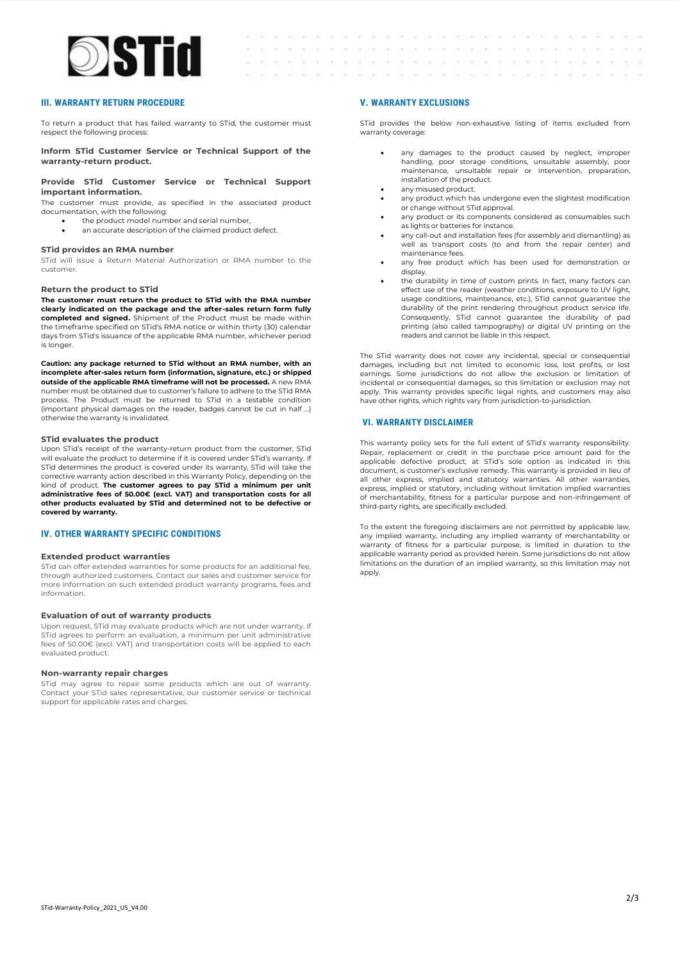

# **III. WARRANTY RETURN PROCEDURE**

To return a product that has failed warranty to STid, the customer must respect the following process:

**Inform STid Customer Service or Technical Support of the warranty-return product.**

### **Provide STid Customer Service or Technical Support important information.**

The customer must provide, as specified in the associated product documentation, with the following:

- the product model number and serial number,
- an accurate description of the claimed product defect.

#### **STid provides an RMA number**

STid will issue a Return Material Authorization or RMA number to the customer.

#### **Return the product to STid**

**The customer must return the product to STid with the RMA number clearly indicated on the package and the after-sales return form fully completed and signed.** Shipment of the Product must be made within the timeframe specified on STid's RMA notice or within thirty (30) calendar days from STid's issuance of the applicable RMA number, whichever period is longer.

**Caution: any package returned to STid without an RMA number, with an incomplete after-sales return form (information, signature, etc.) or shipped outside of the applicable RMA timeframe will not be processed.** A new RMA number must be obtained due to customer's failure to adhere to the STid RMA process. The Product must be returned to STid in a testable condition (important physical damages on the reader, badges cannot be cut in half ...) otherwise the warranty is invalidated.

#### **STid evaluates the product**

Upon STid's receipt of the warranty-return product from the customer, STid will evaluate the product to determine if it is covered under STid's warranty. If STid determines the product is covered under its warranty, STid will take the corrective warranty action described in this Warranty Policy, depending on the kind of product. **The customer agrees to pay STid a minimum per unit administrative fees of 50.00€ (excl. VAT) and transportation costs for all other products evaluated by STid and determined not to be defective or covered by warranty.**

# **IV. OTHER WARRANTY SPECIFIC CONDITIONS**

# **Extended product warranties**

STid can offer extended warranties for some products for an additional fee, through authorized customers. Contact our sales and customer service for more information on such extended product warranty programs, fees and information.

# **Evaluation of out of warranty products**

Upon request, STid may evaluate products which are not under warranty. If STid agrees to perform an evaluation, a minimum per unit administrative fees of 50.00€ (excl. VAT) and transportation costs will be applied to each evaluated product.

#### **Non-warranty repair charges**

STid may agree to repair some products which are out of warranty. Contact your STid sales representative, our customer service or technical support for applicable rates and charges.

# **V. WARRANTY EXCLUSIONS**

 $\sim$   $\sim$ 

be be be be be be to shortchaster. In

 $\mathcal{L}_{\mathcal{L}}$  $-20$ Call 1 **Car** 

 $\alpha$  . The

 $\alpha$  .

 $\sim$   $\sim$ 

 $\sim$ 

 $(15 - 15) - 3(5 - 14)$ 

 $82 - 82 = 81 - 181$ 

 $-100 - 100 - 100$ 

STid provides the below non-exhaustive listing of items excluded from warranty coverage:

the the bit of the case of the contemporary and act and act of the set

on the companies to the component the companies are not believe the

any damages to the product caused by neglect, improper handling, poor storage conditions, unsuitable assembly, poor maintenance, unsuitable repair or intervention, preparation, installation of the product.

to the following and the second terms of the second

 $\langle \gamma_{\rm eff} \rangle$ 

 $\sim$  $\sim 10^{-1}$  $\sim$ 

> $\sim$  $\sim$

 $\sim$  $\sim$  $\sim$  $\sim$ 

and any art and tax

- any misused product.
- any product which has undergone even the slightest modification or change without STid approval.
- any product or its components considered as consumables such as lights or batteries for instance.
- any call-out and installation fees (for assembly and dismantling) as well as transport costs (to and from the repair center) and maintenance fees.
- any free product which has been used for demonstration or display.
- the durability in time of custom prints. In fact, many factors can effect use of the reader (weather conditions, exposure to UV light, usage conditions, maintenance, etc.), STid cannot guarantee the durability of the print rendering throughout product service life. Consequently, STid cannot guarantee the durability of pad printing (also called tampography) or digital UV printing on the readers and cannot be liable in this respect.

The STid warranty does not cover any incidental, special or consequential damages, including but not limited to economic loss, lost profits, or lost earnings. Some jurisdictions do not allow the exclusion or limitation of incidental or consequential damages, so this limitation or exclusion may not apply. This warranty provides specific legal rights, and customers may also have other rights, which rights vary from jurisdiction-to-jurisdiction.

# **VI. WARRANTY DISCLAIMER**

This warranty policy sets for the full extent of STid's warranty responsibility. Repair, replacement or credit in the purchase price amount paid for the applicable defective product, at STid's sole option as indicated in this document, is customer's exclusive remedy. This warranty is provided in lieu of all other express, implied and statutory warranties. All other warranties, express, implied or statutory, including without limitation implied warranties of merchantability, fitness for a particular purpose and non-infringement of third-party rights, are specifically excluded.

To the extent the foregoing disclaimers are not permitted by applicable law, any implied warranty, including any implied warranty of merchantability or warranty of fitness for a particular purpose, is limited in duration to the applicable warranty period as provided herein. Some jurisdictions do not allow limitations on the duration of an implied warranty, so this limitation may not apply.